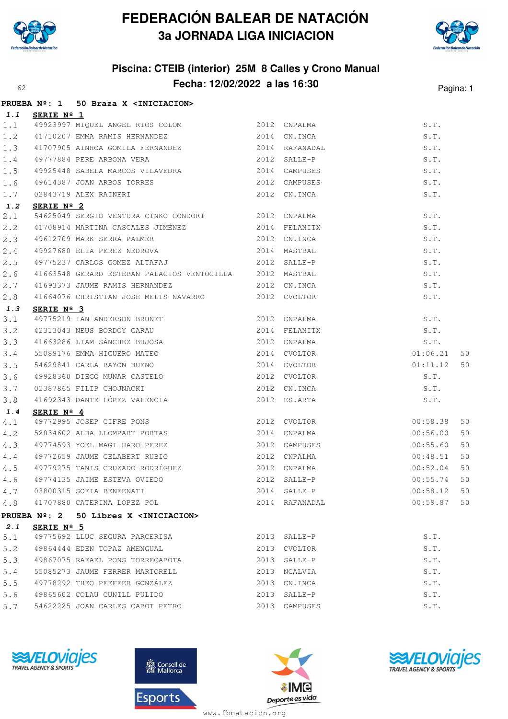

# **FEDERACIÓN BALEAR DE NATACIÓN 3a JORNADA LIGA INICIACION**



### **Piscina: CTEIB (interior) 25M 8 Calles y Crono Manual Fecha: 12/02/2022 a las 16:30**<sup>62</sup> Pagina: 1

|      |            | PRUEBA Nº: 1 50 Braza X <iniciacion></iniciacion>                                                                                                                                                                              |                |                               |    |
|------|------------|--------------------------------------------------------------------------------------------------------------------------------------------------------------------------------------------------------------------------------|----------------|-------------------------------|----|
| 1.1  | SERIE Nº 1 |                                                                                                                                                                                                                                |                |                               |    |
| 1.1  |            | 49923997 MIQUEL ANGEL RIOS COLOM 2012 CNPALMA                                                                                                                                                                                  |                | $\texttt{S}$ . $\texttt{T}$ . |    |
| 1.2  |            | 41710207 EMMA RAMIS HERNANDEZ 2014 CN.INCA                                                                                                                                                                                     |                | S.T.                          |    |
| 1.3  |            | 41707905 AINHOA GOMILA FERNANDEZ 2014 RAFANADAL                                                                                                                                                                                |                | S.T.                          |    |
| 1.4  |            |                                                                                                                                                                                                                                |                | S.T.                          |    |
| 1.5  |            | 49777884 PERE ARBONA VERA 19777884 PERE ARBONA VERA 2012 SALLE-P<br>49925448 SABELA MARCOS VILAVEDRA 2014 CAMPUSES                                                                                                             |                | S.T.                          |    |
| 1.6  |            |                                                                                                                                                                                                                                |                | S.T.                          |    |
| 1.7  |            | 49614387 JOAN ARBOS TORRES 2012 CAMPUSES<br>02843719 ALEX RAINERI 2012 CN.INCA                                                                                                                                                 |                | S.T.                          |    |
| 1.2  | SERIE Nº 2 |                                                                                                                                                                                                                                |                |                               |    |
| 2.1  |            | 54625049 SERGIO VENTURA CINKO CONDORI 2012 CNPALMA                                                                                                                                                                             |                | S.T.                          |    |
| 2, 2 |            |                                                                                                                                                                                                                                |                | S.T.                          |    |
| 2.3  |            |                                                                                                                                                                                                                                |                | S.T.                          |    |
| 2.4  |            | 49612709 MARK SERRA PALMER (2012 CN.INCA)<br>49927680 ELIA PEREZ NEDROVA (2014 MASTBAL                                                                                                                                         |                | S.T.                          |    |
| 2.5  |            | 49775237 CARLOS GOMEZ ALTAFAJ (2012 SALLE-P                                                                                                                                                                                    |                | S.T.                          |    |
| 2.6  |            | 41663548 GERARD ESTEBAN PALACIOS VENTOCILLA 2012 MASTBAL                                                                                                                                                                       |                | S.T.                          |    |
| 2.7  |            | 41693373 JAUME RAMIS HERNANDEZ 2012 CN.INCA                                                                                                                                                                                    |                | S.T.                          |    |
| 2.8  |            | 41664076 CHRISTIAN JOSE MELIS NAVARRO 2012 CVOLTOR                                                                                                                                                                             |                | S.T.                          |    |
| 1.3  | SERIE Nº 3 |                                                                                                                                                                                                                                |                |                               |    |
| 3.1  |            |                                                                                                                                                                                                                                |                | S.T.                          |    |
| 3.2  |            |                                                                                                                                                                                                                                |                | S.T.                          |    |
| 3.3  |            | <b>SEALE N-3</b><br>49775219 IAN ANDERSON BRUNET<br>42313043 NEUS BORDOY GARAU<br>41663286 LIAM SÁNCHEZ BUJOSA<br>55089176 EMMA HIGUERO MATEO<br>54629841 CARLA BAYON BUENO<br>42014 CVOLTOR<br>42014 CVOLTOR<br>42014 CVOLTOR |                | S.T.                          |    |
| 3.4  |            |                                                                                                                                                                                                                                |                | 01:06.21                      | 50 |
| 3.5  |            |                                                                                                                                                                                                                                |                | 01:11.12                      | 50 |
| 3.6  |            | 49928360 DIEGO MUNAR CASTELO 2012 CVOLTOR                                                                                                                                                                                      |                | S.T.                          |    |
| 3.7  |            |                                                                                                                                                                                                                                | 2012 CN.INCA   | S.T.                          |    |
| 3.8  |            | 02387865 FILIP CHOJNACKI 2012 CN.INCA<br>41692343 DANTE LÓPEZ VALENCIA 2012 ES.ARTA                                                                                                                                            |                | S.T.                          |    |
| 1.4  | SERIE Nº 4 | <b>SERIE Nº 4</b><br>49772995 JOSEP CIFRE PONS 2012 CVOLTOR<br>52034602 ALBA LLOMPART PORTAS 2014 CNPALMA                                                                                                                      |                |                               |    |
| 4.1  |            |                                                                                                                                                                                                                                | 2012 CVOLTOR   | 00:58.38                      | 50 |
| 4.2  |            |                                                                                                                                                                                                                                |                | 00:56.00                      | 50 |
| 4.3  |            | 49774593 YOEL MAGI HARO PEREZ (2012 CAMPUSES 49772659 JAUME GELABERT RUBIO                                                                                                                                                     | 2012 CAMPUSES  | 00:55.60                      | 50 |
| 4.4  |            |                                                                                                                                                                                                                                |                | 00:48.51                      | 50 |
| 4.5  |            | 49779275 TANIS CRUZADO RODRÍGUEZ 600 2012 CNPALMA                                                                                                                                                                              |                | 00:52.04                      | 50 |
|      |            |                                                                                                                                                                                                                                |                |                               |    |
| 4.7  |            | 03800315 SOFIA BENFENATI                                                                                                                                                                                                       | 2014 SALLE-P   | 00:58.12 50                   |    |
|      |            | 4.8 41707880 CATERINA LOPEZ POL                                                                                                                                                                                                | 2014 RAFANADAL | 00:59.87                      | 50 |
|      |            | PRUEBA Nº: 2 50 Libres X <iniciacion></iniciacion>                                                                                                                                                                             |                |                               |    |
| 2.1  | SERIE Nº 5 |                                                                                                                                                                                                                                |                |                               |    |
| 5.1  |            | 49775692 LLUC SEGURA PARCERISA                                                                                                                                                                                                 | 2013 SALLE-P   | S.T.                          |    |
| 5.2  |            | 49864444 EDEN TOPAZ AMENGUAL                                                                                                                                                                                                   | 2013 CVOLTOR   | S.T.                          |    |
| 5.3  |            | 49867075 RAFAEL PONS TORRECABOTA 6 2013 SALLE-P                                                                                                                                                                                |                | S.T.                          |    |
| 5.4  |            | 55085273 JAUME FERRER MARTORELL                                                                                                                                                                                                | 2013 NCALVIA   | S.T.                          |    |
| 5.5  |            | 49778292 THEO PFEFFER GONZÁLEZ                                                                                                                                                                                                 | 2013 CN.INCA   | S.T.                          |    |
|      |            | 5.6 49865602 COLAU CUNILL PULIDO                                                                                                                                                                                               | 2013 SALLE-P   | S.T.                          |    |
| 5.7  |            | 54622225 JOAN CARLES CABOT PETRO                                                                                                                                                                                               | 2013 CAMPUSES  | S.T.                          |    |









www.fbnatacion.org